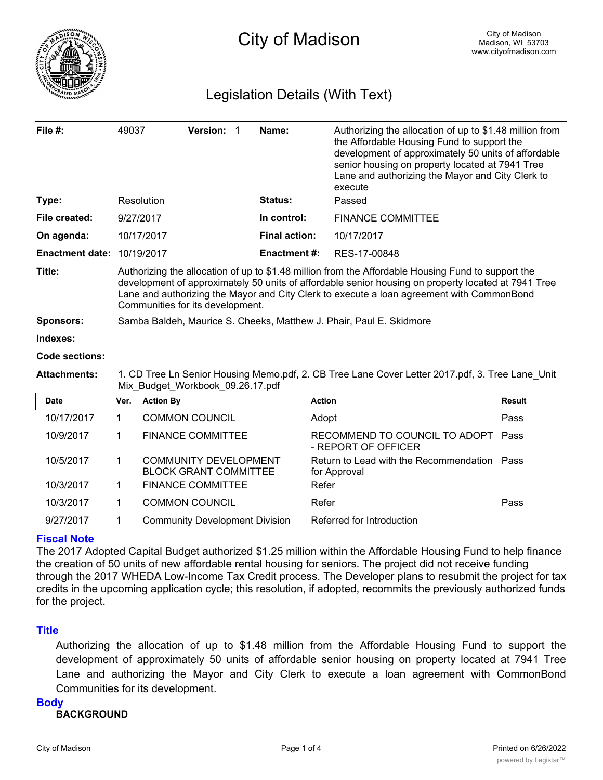

# Legislation Details (With Text)

| File #:                | 49037                                                                                                                                                                                                                                                                                                                                      | Version: 1                                                   | Name:                | Authorizing the allocation of up to \$1.48 million from<br>the Affordable Housing Fund to support the<br>development of approximately 50 units of affordable<br>senior housing on property located at 7941 Tree<br>Lane and authorizing the Mayor and City Clerk to<br>execute |               |
|------------------------|--------------------------------------------------------------------------------------------------------------------------------------------------------------------------------------------------------------------------------------------------------------------------------------------------------------------------------------------|--------------------------------------------------------------|----------------------|--------------------------------------------------------------------------------------------------------------------------------------------------------------------------------------------------------------------------------------------------------------------------------|---------------|
| Type:                  |                                                                                                                                                                                                                                                                                                                                            | Resolution                                                   | Status:              | Passed                                                                                                                                                                                                                                                                         |               |
| File created:          | 9/27/2017                                                                                                                                                                                                                                                                                                                                  |                                                              | In control:          | <b>FINANCE COMMITTEE</b>                                                                                                                                                                                                                                                       |               |
| On agenda:             | 10/17/2017                                                                                                                                                                                                                                                                                                                                 |                                                              | <b>Final action:</b> | 10/17/2017                                                                                                                                                                                                                                                                     |               |
| <b>Enactment date:</b> | 10/19/2017                                                                                                                                                                                                                                                                                                                                 |                                                              | <b>Enactment #:</b>  | RES-17-00848                                                                                                                                                                                                                                                                   |               |
| Title:                 | Authorizing the allocation of up to \$1.48 million from the Affordable Housing Fund to support the<br>development of approximately 50 units of affordable senior housing on property located at 7941 Tree<br>Lane and authorizing the Mayor and City Clerk to execute a loan agreement with CommonBond<br>Communities for its development. |                                                              |                      |                                                                                                                                                                                                                                                                                |               |
| Sponsors:              | Samba Baldeh, Maurice S. Cheeks, Matthew J. Phair, Paul E. Skidmore                                                                                                                                                                                                                                                                        |                                                              |                      |                                                                                                                                                                                                                                                                                |               |
| Indexes:               |                                                                                                                                                                                                                                                                                                                                            |                                                              |                      |                                                                                                                                                                                                                                                                                |               |
| Code sections:         |                                                                                                                                                                                                                                                                                                                                            |                                                              |                      |                                                                                                                                                                                                                                                                                |               |
| <b>Attachments:</b>    | 1. CD Tree Ln Senior Housing Memo.pdf, 2. CB Tree Lane Cover Letter 2017.pdf, 3. Tree Lane Unit<br>Mix Budget Workbook 09.26.17.pdf                                                                                                                                                                                                        |                                                              |                      |                                                                                                                                                                                                                                                                                |               |
| <b>Date</b>            | Ver.                                                                                                                                                                                                                                                                                                                                       | <b>Action By</b>                                             |                      | <b>Action</b>                                                                                                                                                                                                                                                                  | <b>Result</b> |
| 10/17/2017             | 1.                                                                                                                                                                                                                                                                                                                                         | <b>COMMON COUNCIL</b>                                        |                      | Adopt                                                                                                                                                                                                                                                                          | Pass          |
| 10/9/2017              | 1                                                                                                                                                                                                                                                                                                                                          | <b>FINANCE COMMITTEE</b>                                     |                      | RECOMMEND TO COUNCIL TO ADOPT<br>- REPORT OF OFFICER                                                                                                                                                                                                                           | Pass          |
| 10/5/2017              | 1                                                                                                                                                                                                                                                                                                                                          | <b>COMMUNITY DEVELOPMENT</b><br><b>BLOCK GRANT COMMITTEE</b> |                      | Return to Lead with the Recommendation Pass<br>for Approval                                                                                                                                                                                                                    |               |
| 10/3/2017              | 1                                                                                                                                                                                                                                                                                                                                          | <b>FINANCE COMMITTEE</b>                                     |                      | Refer                                                                                                                                                                                                                                                                          |               |
| 10/3/2017              | 1                                                                                                                                                                                                                                                                                                                                          | <b>COMMON COUNCIL</b>                                        |                      | Refer                                                                                                                                                                                                                                                                          | Pass          |

## **Fiscal Note**

The 2017 Adopted Capital Budget authorized \$1.25 million within the Affordable Housing Fund to help finance the creation of 50 units of new affordable rental housing for seniors. The project did not receive funding through the 2017 WHEDA Low-Income Tax Credit process. The Developer plans to resubmit the project for tax credits in the upcoming application cycle; this resolution, if adopted, recommits the previously authorized funds for the project.

9/27/2017 1 Community Development Division Referred for Introduction

## **Title**

Authorizing the allocation of up to \$1.48 million from the Affordable Housing Fund to support the development of approximately 50 units of affordable senior housing on property located at 7941 Tree Lane and authorizing the Mayor and City Clerk to execute a loan agreement with CommonBond Communities for its development.

### **Body**

**BACKGROUND**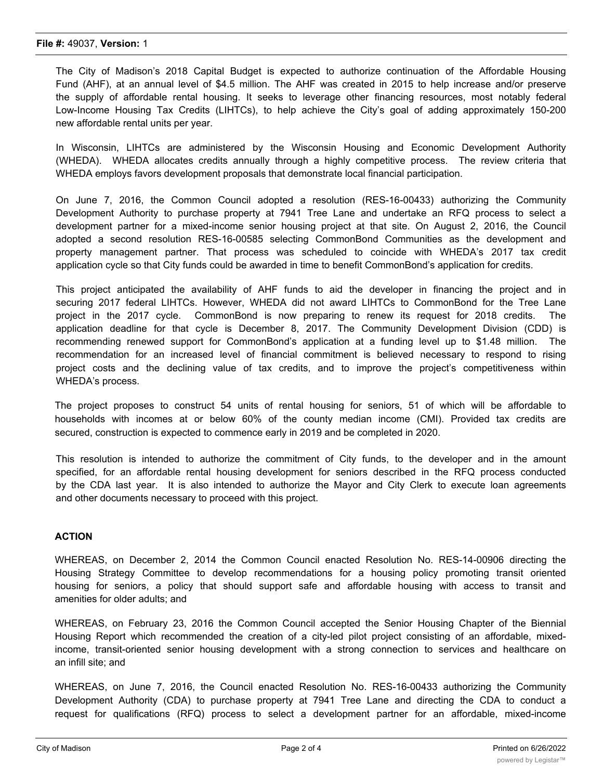The City of Madison's 2018 Capital Budget is expected to authorize continuation of the Affordable Housing Fund (AHF), at an annual level of \$4.5 million. The AHF was created in 2015 to help increase and/or preserve the supply of affordable rental housing. It seeks to leverage other financing resources, most notably federal Low-Income Housing Tax Credits (LIHTCs), to help achieve the City's goal of adding approximately 150-200 new affordable rental units per year.

In Wisconsin, LIHTCs are administered by the Wisconsin Housing and Economic Development Authority (WHEDA). WHEDA allocates credits annually through a highly competitive process. The review criteria that WHEDA employs favors development proposals that demonstrate local financial participation.

On June 7, 2016, the Common Council adopted a resolution (RES-16-00433) authorizing the Community Development Authority to purchase property at 7941 Tree Lane and undertake an RFQ process to select a development partner for a mixed-income senior housing project at that site. On August 2, 2016, the Council adopted a second resolution RES-16-00585 selecting CommonBond Communities as the development and property management partner. That process was scheduled to coincide with WHEDA's 2017 tax credit application cycle so that City funds could be awarded in time to benefit CommonBond's application for credits.

This project anticipated the availability of AHF funds to aid the developer in financing the project and in securing 2017 federal LIHTCs. However, WHEDA did not award LIHTCs to CommonBond for the Tree Lane project in the 2017 cycle. CommonBond is now preparing to renew its request for 2018 credits. The application deadline for that cycle is December 8, 2017. The Community Development Division (CDD) is recommending renewed support for CommonBond's application at a funding level up to \$1.48 million. The recommendation for an increased level of financial commitment is believed necessary to respond to rising project costs and the declining value of tax credits, and to improve the project's competitiveness within WHEDA's process.

The project proposes to construct 54 units of rental housing for seniors, 51 of which will be affordable to households with incomes at or below 60% of the county median income (CMI). Provided tax credits are secured, construction is expected to commence early in 2019 and be completed in 2020.

This resolution is intended to authorize the commitment of City funds, to the developer and in the amount specified, for an affordable rental housing development for seniors described in the RFQ process conducted by the CDA last year. It is also intended to authorize the Mayor and City Clerk to execute loan agreements and other documents necessary to proceed with this project.

## **ACTION**

WHEREAS, on December 2, 2014 the Common Council enacted Resolution No. RES-14-00906 directing the Housing Strategy Committee to develop recommendations for a housing policy promoting transit oriented housing for seniors, a policy that should support safe and affordable housing with access to transit and amenities for older adults; and

WHEREAS, on February 23, 2016 the Common Council accepted the Senior Housing Chapter of the Biennial Housing Report which recommended the creation of a city-led pilot project consisting of an affordable, mixedincome, transit-oriented senior housing development with a strong connection to services and healthcare on an infill site; and

WHEREAS, on June 7, 2016, the Council enacted Resolution No. RES-16-00433 authorizing the Community Development Authority (CDA) to purchase property at 7941 Tree Lane and directing the CDA to conduct a request for qualifications (RFQ) process to select a development partner for an affordable, mixed-income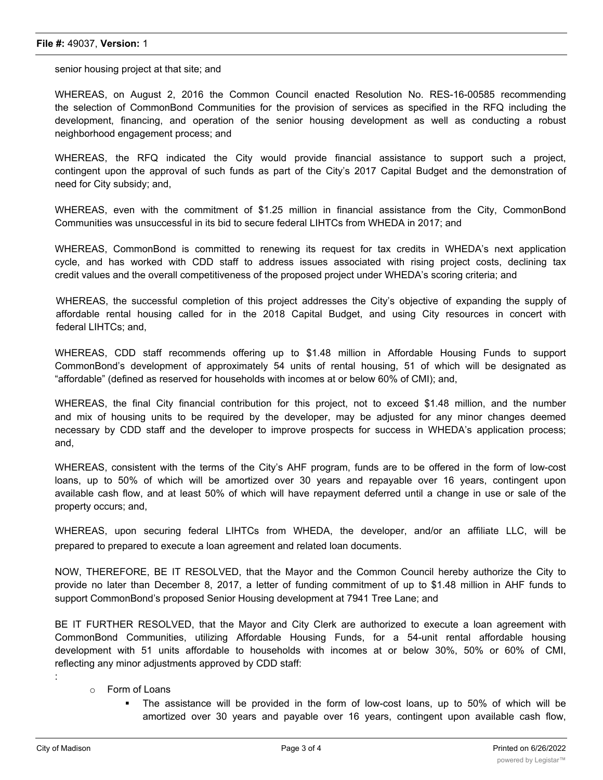#### **File #:** 49037, **Version:** 1

senior housing project at that site; and

WHEREAS, on August 2, 2016 the Common Council enacted Resolution No. RES-16-00585 recommending the selection of CommonBond Communities for the provision of services as specified in the RFQ including the development, financing, and operation of the senior housing development as well as conducting a robust neighborhood engagement process; and

WHEREAS, the RFQ indicated the City would provide financial assistance to support such a project, contingent upon the approval of such funds as part of the City's 2017 Capital Budget and the demonstration of need for City subsidy; and,

WHEREAS, even with the commitment of \$1.25 million in financial assistance from the City, CommonBond Communities was unsuccessful in its bid to secure federal LIHTCs from WHEDA in 2017; and

WHEREAS, CommonBond is committed to renewing its request for tax credits in WHEDA's next application cycle, and has worked with CDD staff to address issues associated with rising project costs, declining tax credit values and the overall competitiveness of the proposed project under WHEDA's scoring criteria; and

WHEREAS, the successful completion of this project addresses the City's objective of expanding the supply of affordable rental housing called for in the 2018 Capital Budget, and using City resources in concert with federal LIHTCs; and,

WHEREAS, CDD staff recommends offering up to \$1.48 million in Affordable Housing Funds to support CommonBond's development of approximately 54 units of rental housing, 51 of which will be designated as "affordable" (defined as reserved for households with incomes at or below 60% of CMI); and,

WHEREAS, the final City financial contribution for this project, not to exceed \$1.48 million, and the number and mix of housing units to be required by the developer, may be adjusted for any minor changes deemed necessary by CDD staff and the developer to improve prospects for success in WHEDA's application process; and,

WHEREAS, consistent with the terms of the City's AHF program, funds are to be offered in the form of low-cost loans, up to 50% of which will be amortized over 30 years and repayable over 16 years, contingent upon available cash flow, and at least 50% of which will have repayment deferred until a change in use or sale of the property occurs; and,

WHEREAS, upon securing federal LIHTCs from WHEDA, the developer, and/or an affiliate LLC, will be prepared to prepared to execute a loan agreement and related loan documents.

NOW, THEREFORE, BE IT RESOLVED, that the Mayor and the Common Council hereby authorize the City to provide no later than December 8, 2017, a letter of funding commitment of up to \$1.48 million in AHF funds to support CommonBond's proposed Senior Housing development at 7941 Tree Lane; and

BE IT FURTHER RESOLVED, that the Mayor and City Clerk are authorized to execute a loan agreement with CommonBond Communities, utilizing Affordable Housing Funds, for a 54-unit rental affordable housing development with 51 units affordable to households with incomes at or below 30%, 50% or 60% of CMI, reflecting any minor adjustments approved by CDD staff:

- o Form of Loans
	- § The assistance will be provided in the form of low-cost loans, up to 50% of which will be amortized over 30 years and payable over 16 years, contingent upon available cash flow,

: